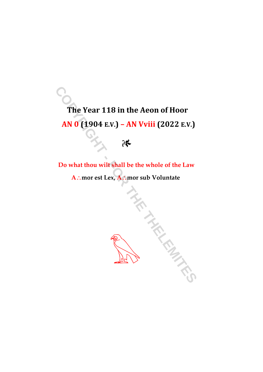## The Year 118 in the Aeon of Hoor AN 0 (1904 E.V.) - AN Vviii (2022 E.V.)

## $\partial \xi$

Do what thou wilt shall be the whole of the Law A∴mor est Lex, A∴mor sub Voluntate

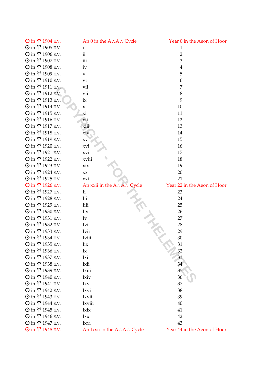| $\odot$ in $\Upsilon$ 1904 E.V. | An $0$ in the A: A: Cycle       | Year 0 in the Aeon of Hoor  |
|---------------------------------|---------------------------------|-----------------------------|
| $\odot$ in $\Upsilon$ 1905 E.V. | i.                              | $\mathbf{1}$                |
| Ο in Υ 1906 E.V.                | $\mathbf{ii}$                   | $\overline{2}$              |
| Ο in Υ 1907 E.V.                | iii                             | 3                           |
| $\odot$ in $\Upsilon$ 1908 E.V. | iv                              | 4                           |
| $\odot$ in $\Upsilon$ 1909 E.V. | $\mathbf{V}$                    | 5                           |
| Ο in Υ 1910 E.V.                | vi                              | 6                           |
| Ο in Υ 1911 E.V.                | vii                             | 7                           |
| Ο in Υ 1912 E.V.                | viii                            | 8                           |
| Ο in Υ 1913 E.V.                | ix                              | 9                           |
| Ο in Υ 1914 E.V.                | X                               | 10                          |
| $\odot$ in $\Upsilon$ 1915 E.V. | хi                              | 11                          |
| Ο in Υ 1916 E.V.                | xii                             | 12                          |
| Ο in Υ 1917 E.V.                | xiii                            | 13                          |
| Ο in Υ 1918 E.V.                | xiv                             | 14                          |
| Ο in Υ 1919 E.V.                | XV                              | 15                          |
| Ο in Υ 1920 E.V.                | xvi                             | 16                          |
| Ο in Υ 1921 E.V.                | xvii                            | 17                          |
| Ο in Υ 1922 E.V.                | xviii                           | 18                          |
| Ο in Υ 1923 E.V.                | xix                             | 19                          |
| Ο in Υ 1924 E.V.                | XX                              | 20                          |
| $\odot$ in $\Upsilon$ 1925 E.V. | xxi                             | 21                          |
| $\odot$ in $\Upsilon$ 1926 E.V. | An xxii in the $A : A : C$ ycle | Year 22 in the Aeon of Hoor |
| Ο in Υ 1927 E.V.                | Ii                              | 23                          |
| $\odot$ in $\Upsilon$ 1928 E.V. | Iii                             | 24                          |
| Ο in Υ 1929 E.V.                | Iiii                            | 25                          |
| Ο in Υ 1930 E.V.                | <b>liv</b>                      | 26                          |
| Ο in Υ 1931 E.V.                | $I_{V}$                         | 27                          |
| Ο in Υ 1932 E.V.                | Ivi                             | 28                          |
| Ο in Υ 1933 E.V.                | Ivii                            | 29                          |
| Ο in Υ 1934 E.V.                | Iviii                           | 30                          |
| Ο in Υ 1935 E.V.                | Iix                             | 31                          |
| $\odot$ in $\Upsilon$ 1936 E.V. | Ix                              | 32                          |
| Ο in Υ 1937 E.V.                | Ixi                             | 33                          |
| $\odot$ in $\Upsilon$ 1938 E.V. | Ixii                            | 34                          |
| Ο in Υ 1939 E.V.                | Ixiii                           | 35                          |
| Ο in Υ 1940 E.V.                | Ixiv                            | 36                          |
| Ο in Υ 1941 E.V.                | Ixv                             | 37                          |
| Ο in Υ 1942 E.V.                | Ixvi                            | 38                          |
| Ο in Υ 1943 E.V.                | Ixvii                           | 39                          |
| Ο in Υ 1944 E.V.                | Ixviii                          | 40                          |
| Ο in Υ 1945 E.V.                | Ixix                            | 41                          |
| Ο in Υ 1946 E.V.                | Ixx                             | 42                          |
| $\odot$ in $\Upsilon$ 1947 E.V. | Ixxi                            | 43                          |
| O in Υ 1948 E.V.                | An Ixxii in the A∴A∴ Cycle      | Year 44 in the Aeon of Hoor |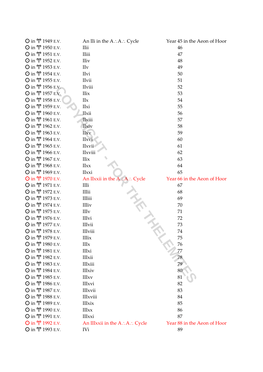| Ο in Υ 1949 E.V.                            | An IIi in the A∴A∴ Cycle            | Year 45 in the Aeon of Hoor       |
|---------------------------------------------|-------------------------------------|-----------------------------------|
| $\odot$ in $\Upsilon$ 1950 E.V.             | IIii                                | 46                                |
| $\odot$ in $\Upsilon$ 1951 E.V.             | <b>IIiii</b>                        | 47                                |
| Ο in Υ 1952 E.V.                            | <b>IIiv</b>                         | 48                                |
| Ο in Υ 1953 E.V.                            | <b>IIv</b>                          | 49                                |
| $\odot$ in $\Upsilon$ 1954 E.V.             | IIvi                                | 50                                |
| $\odot$ in $\Upsilon$ 1955 E.V.             | <b>IIvii</b>                        | 51                                |
| Ο in Υ 1956 E.V.                            | IIviii                              | 52                                |
| Ο in Υ 1957 E.V.                            | <b>IIix</b>                         | 53                                |
| $\odot$ in $\Upsilon$ 1958 E.V.             | IIx                                 | 54                                |
| Ο in Υ 1959 E.V.                            | IIxi                                | 55                                |
| $\odot$ in $\Upsilon$ 1960 E.V.             | IIxii                               | 56                                |
| $\odot$ in $\Upsilon$ 1961 E.V.             | <b>IIxiii</b>                       | 57                                |
| Ο in Υ 1962 E.V.                            | IIxiv                               | 58                                |
| Ο in Υ 1963 E.V.                            | <b>IIxv</b>                         | 59                                |
| Ο in Υ 1964 E.V.                            | <b>IIxvi</b>                        | 60                                |
| $\odot$ in $\Upsilon$ 1965 E.V.             | IIxvii                              | 61                                |
| $\odot$ in $\Upsilon$ 1966 E.V.             | IIxviii                             | 62                                |
| $\odot$ in $\Upsilon$ 1967 E.V.             | IIix                                | 63                                |
| $\odot$ in $\Upsilon$ 1968 E.V.             | IIxx                                | 64                                |
| Ο in Υ 1969 E.V.                            | <b>IIxxi</b>                        | 65                                |
| Ο in Υ 1970 E.V.                            | An IIxxii in the A.A.: Cycle        | Year 66 in the Aeon of Hoor       |
| $\odot$ in $\Upsilon$ 1971 E.V.             | IIIi                                | 67                                |
| Ο in Υ 1972 E.V.                            | IIIii                               | 68                                |
| $\odot$ in $\Upsilon$ 1973 E.V.             | <b>IIIiii</b>                       | 69                                |
| Ο in Υ 1974 E.V.                            | <b>IIIiv</b>                        | 70                                |
| $\odot$ in $\Upsilon$ 1975 E.V.             | IIIv                                | 71                                |
| Ο in Υ 1976 E.V.                            | <b>IIIvi</b>                        | 72                                |
| $\odot$ in $\Upsilon$ 1977 E.V.             | <b>IIIvii</b>                       | 73                                |
| Ο in Υ 1978 E.V.                            | <b>IIIviii</b>                      | 74                                |
| Ο in Υ 1979 E.V.                            | <b>IIIix</b>                        | 75                                |
| $\odot$ in $\Upsilon$ 1980 E.V.             | IIIx                                | 76                                |
| Ο in Υ 1981 E.V.                            | <b>IIIxi</b>                        | 77                                |
| $\odot$ in $\Upsilon$ 1982 E.V.             | <b>IIIxii</b>                       | 78                                |
| $\odot$ in $\Upsilon$ 1983 E.V.             | <b>IIIxiii</b>                      | 79                                |
| Ο in Υ 1984 E.V.                            | <b>IIIxiv</b>                       | 80                                |
| $\odot$ in $\Upsilon$ 1985 E.V.             | <b>IIIxv</b>                        | 81                                |
| $\odot$ in $\Upsilon$ 1986 E.V.             | <b>IIIxvi</b>                       | 82                                |
| Ο in Υ 1987 E.V.                            | <b>IIIxvii</b>                      | 83                                |
| $\odot$ in $\Upsilon$ 1988 E.V.             | <b>IIIxviii</b>                     | 84                                |
| $\odot$ in $\Upsilon$ 1989 E.V.             | <b>IIIxix</b>                       | 85                                |
| $\odot$ in $\Upsilon$ 1990 E.V.             | <b>IIIxx</b>                        | 86                                |
|                                             |                                     |                                   |
| Ο in Υ 1991 E.V.                            | <b>IIIxxi</b>                       | 87                                |
| O in <b>Υ</b> 1992 E.V.<br>Ο in Υ 1993 E.V. | An IIIxxii in the A∴A∴ Cycle<br>IVi | Year 88 in the Aeon of Hoor<br>89 |